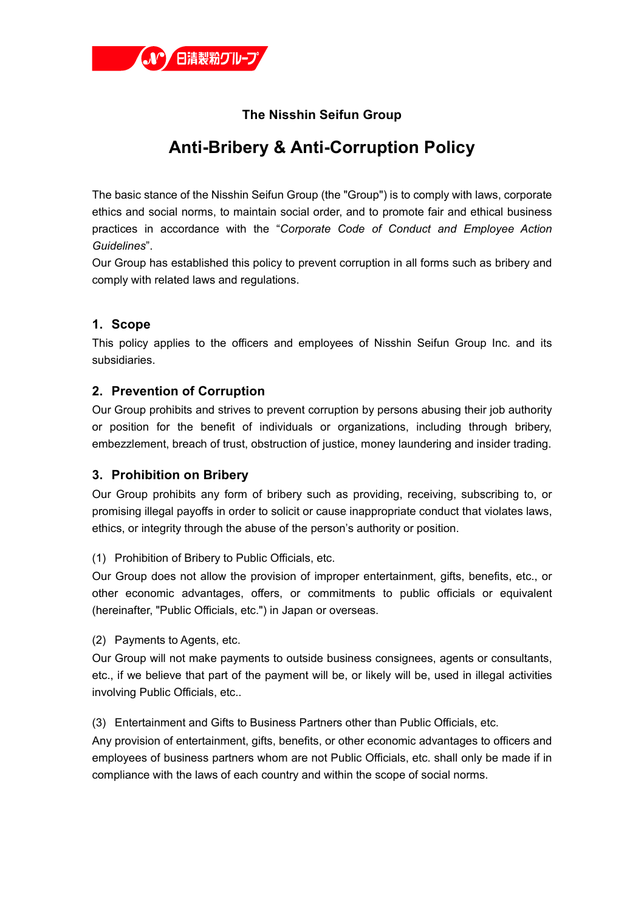

## **The Nisshin Seifun Group**

# **Anti-Bribery & Anti-Corruption Policy**

The basic stance of the Nisshin Seifun Group (the "Group") is to comply with laws, corporate ethics and social norms, to maintain social order, and to promote fair and ethical business practices in accordance with the "*Corporate Code of Conduct and Employee Action Guidelines*".

Our Group has established this policy to prevent corruption in all forms such as bribery and comply with related laws and regulations.

## **1. Scope**

This policy applies to the officers and employees of Nisshin Seifun Group Inc. and its subsidiaries.

## **2. Prevention of Corruption**

Our Group prohibits and strives to prevent corruption by persons abusing their job authority or position for the benefit of individuals or organizations, including through bribery, embezzlement, breach of trust, obstruction of justice, money laundering and insider trading.

#### **3. Prohibition on Bribery**

Our Group prohibits any form of bribery such as providing, receiving, subscribing to, or promising illegal payoffs in order to solicit or cause inappropriate conduct that violates laws, ethics, or integrity through the abuse of the person's authority or position.

#### (1) Prohibition of Bribery to Public Officials, etc.

Our Group does not allow the provision of improper entertainment, gifts, benefits, etc., or other economic advantages, offers, or commitments to public officials or equivalent (hereinafter, "Public Officials, etc.") in Japan or overseas.

(2) Payments to Agents, etc.

Our Group will not make payments to outside business consignees, agents or consultants, etc., if we believe that part of the payment will be, or likely will be, used in illegal activities involving Public Officials, etc..

(3) Entertainment and Gifts to Business Partners other than Public Officials, etc.

Any provision of entertainment, gifts, benefits, or other economic advantages to officers and employees of business partners whom are not Public Officials, etc. shall only be made if in compliance with the laws of each country and within the scope of social norms.